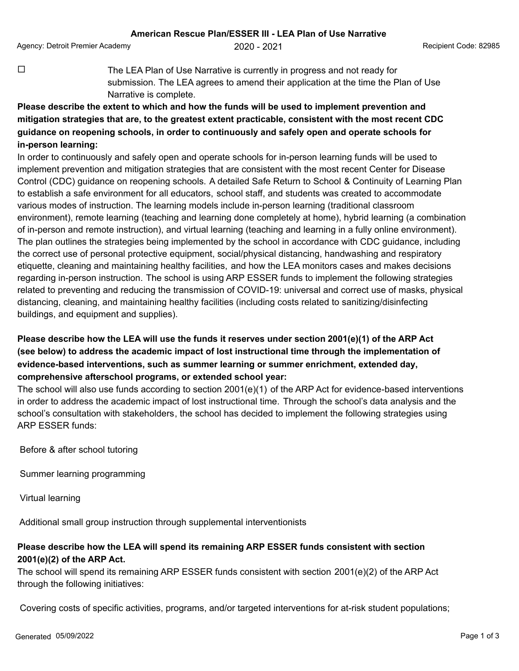Agency: Detroit Premier Academy 2020 - 2021 Recipient Code: 82985

 $\Box$  The LEA Plan of Use Narrative is currently in progress and not ready for submission. The LEA agrees to amend their application at the time the Plan of Use Narrative is complete.

## **Please describe the extent to which and how the funds will be used to implement prevention and mitigation strategies that are, to the greatest extent practicable, consistent with the most recent CDC guidance on reopening schools, in order to continuously and safely open and operate schools for in-person learning:**

In order to continuously and safely open and operate schools for in-person learning funds will be used to implement prevention and mitigation strategies that are consistent with the most recent Center for Disease Control (CDC) guidance on reopening schools. A detailed Safe Return to School & Continuity of Learning Plan to establish a safe environment for all educators, school staff, and students was created to accommodate various modes of instruction. The learning models include in-person learning (traditional classroom environment), remote learning (teaching and learning done completely at home), hybrid learning (a combination of in-person and remote instruction), and virtual learning (teaching and learning in a fully online environment). The plan outlines the strategies being implemented by the school in accordance with CDC guidance, including the correct use of personal protective equipment, social/physical distancing, handwashing and respiratory etiquette, cleaning and maintaining healthy facilities, and how the LEA monitors cases and makes decisions regarding in-person instruction. The school is using ARP ESSER funds to implement the following strategies related to preventing and reducing the transmission of COVID-19: universal and correct use of masks, physical distancing, cleaning, and maintaining healthy facilities (including costs related to sanitizing/disinfecting buildings, and equipment and supplies).

## **Please describe how the LEA will use the funds it reserves under section 2001(e)(1) of the ARP Act (see below) to address the academic impact of lost instructional time through the implementation of evidence-based interventions, such as summer learning or summer enrichment, extended day, comprehensive afterschool programs, or extended school year:**

The school will also use funds according to section 2001(e)(1) of the ARP Act for evidence-based interventions in order to address the academic impact of lost instructional time. Through the school's data analysis and the school's consultation with stakeholders, the school has decided to implement the following strategies using ARP ESSER funds:

Before & after school tutoring

Summer learning programming

Virtual learning

Additional small group instruction through supplemental interventionists

## **Please describe how the LEA will spend its remaining ARP ESSER funds consistent with section 2001(e)(2) of the ARP Act.**

The school will spend its remaining ARP ESSER funds consistent with section 2001(e)(2) of the ARP Act through the following initiatives:

Covering costs of specific activities, programs, and/or targeted interventions for at-risk student populations;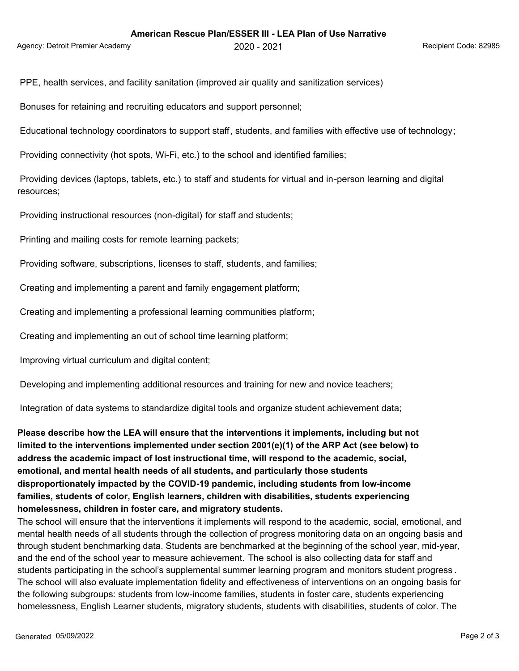Agency: Detroit Premier Academy 2020 - 2021 Recipient Code: 82985

PPE, health services, and facility sanitation (improved air quality and sanitization services)

Bonuses for retaining and recruiting educators and support personnel;

Educational technology coordinators to support staff, students, and families with effective use of technology;

Providing connectivity (hot spots, Wi-Fi, etc.) to the school and identified families;

 Providing devices (laptops, tablets, etc.) to staff and students for virtual and in-person learning and digital resources;

Providing instructional resources (non-digital) for staff and students;

Printing and mailing costs for remote learning packets;

Providing software, subscriptions, licenses to staff, students, and families;

Creating and implementing a parent and family engagement platform;

Creating and implementing a professional learning communities platform;

Creating and implementing an out of school time learning platform;

Improving virtual curriculum and digital content;

Developing and implementing additional resources and training for new and novice teachers;

Integration of data systems to standardize digital tools and organize student achievement data;

**Please describe how the LEA will ensure that the interventions it implements, including but not limited to the interventions implemented under section 2001(e)(1) of the ARP Act (see below) to address the academic impact of lost instructional time, will respond to the academic, social, emotional, and mental health needs of all students, and particularly those students disproportionately impacted by the COVID-19 pandemic, including students from low-income families, students of color, English learners, children with disabilities, students experiencing homelessness, children in foster care, and migratory students.**

The school will ensure that the interventions it implements will respond to the academic, social, emotional, and mental health needs of all students through the collection of progress monitoring data on an ongoing basis and through student benchmarking data. Students are benchmarked at the beginning of the school year, mid-year, and the end of the school year to measure achievement. The school is also collecting data for staff and students participating in the school's supplemental summer learning program and monitors student progress . The school will also evaluate implementation fidelity and effectiveness of interventions on an ongoing basis for the following subgroups: students from low-income families, students in foster care, students experiencing homelessness, English Learner students, migratory students, students with disabilities, students of color. The